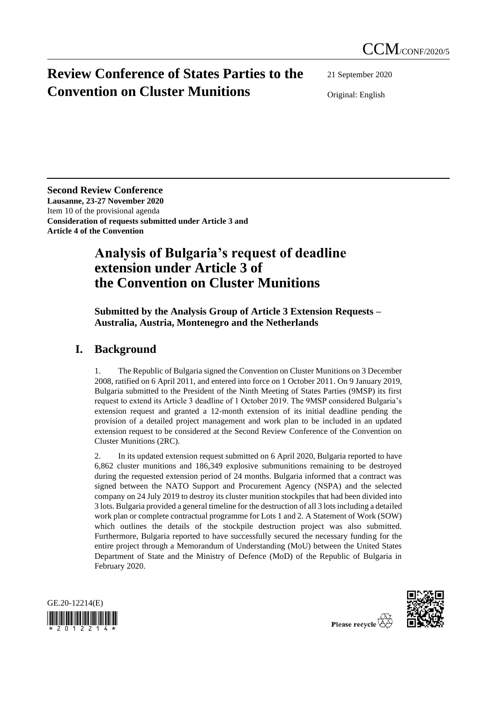# **Review Conference of States Parties to the Convention on Cluster Munitions**

21 September 2020

Original: English

**Second Review Conference Lausanne, 23-27 November 2020** Item 10 of the provisional agenda **Consideration of requests submitted under Article 3 and Article 4 of the Convention**

## **Analysis of Bulgaria's request of deadline extension under Article 3 of the Convention on Cluster Munitions**

#### **Submitted by the Analysis Group of Article 3 Extension Requests – Australia, Austria, Montenegro and the Netherlands**

### **I. Background**

1. The Republic of Bulgaria signed the Convention on Cluster Munitions on 3 December 2008, ratified on 6 April 2011, and entered into force on 1 October 2011. On 9 January 2019, Bulgaria submitted to the President of the Ninth Meeting of States Parties (9MSP) its first request to extend its Article 3 deadline of 1 October 2019. The 9MSP considered Bulgaria's extension request and granted a 12-month extension of its initial deadline pending the provision of a detailed project management and work plan to be included in an updated extension request to be considered at the Second Review Conference of the Convention on Cluster Munitions (2RC).

2. In its updated extension request submitted on 6 April 2020, Bulgaria reported to have 6,862 cluster munitions and 186,349 explosive submunitions remaining to be destroyed during the requested extension period of 24 months. Bulgaria informed that a contract was signed between the NATO Support and Procurement Agency (NSPA) and the selected company on 24 July 2019 to destroy its cluster munition stockpiles that had been divided into 3 lots. Bulgaria provided a general timeline for the destruction of all 3 lots including a detailed work plan or complete contractual programme for Lots 1 and 2. A Statement of Work (SOW) which outlines the details of the stockpile destruction project was also submitted. Furthermore, Bulgaria reported to have successfully secured the necessary funding for the entire project through a Memorandum of Understanding (MoU) between the United States Department of State and the Ministry of Defence (MoD) of the Republic of Bulgaria in February 2020.





Please recycle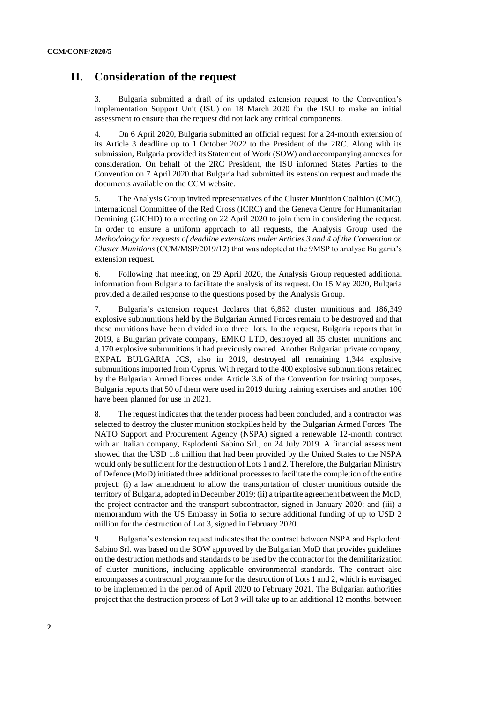### **II. Consideration of the request**

3. Bulgaria submitted a draft of its updated extension request to the Convention's Implementation Support Unit (ISU) on 18 March 2020 for the ISU to make an initial assessment to ensure that the request did not lack any critical components.

4. On 6 April 2020, Bulgaria submitted an official request for a 24-month extension of its Article 3 deadline up to 1 October 2022 to the President of the 2RC. Along with its submission, Bulgaria provided its Statement of Work (SOW) and accompanying annexes for consideration. On behalf of the 2RC President, the ISU informed States Parties to the Convention on 7 April 2020 that Bulgaria had submitted its extension request and made the documents available on the CCM website.

5. The Analysis Group invited representatives of the Cluster Munition Coalition (CMC), International Committee of the Red Cross (ICRC) and the Geneva Centre for Humanitarian Demining (GICHD) to a meeting on 22 April 2020 to join them in considering the request. In order to ensure a uniform approach to all requests, the Analysis Group used the *Methodology for requests of deadline extensions under Articles 3 and 4 of the Convention on Cluster Munitions* (CCM/MSP/2019/12) that was adopted at the 9MSP to analyse Bulgaria's extension request.

6. Following that meeting, on 29 April 2020, the Analysis Group requested additional information from Bulgaria to facilitate the analysis of its request. On 15 May 2020, Bulgaria provided a detailed response to the questions posed by the Analysis Group.

7. Bulgaria's extension request declares that 6,862 cluster munitions and 186,349 explosive submunitions held by the Bulgarian Armed Forces remain to be destroyed and that these munitions have been divided into three lots. In the request, Bulgaria reports that in 2019, a Bulgarian private company, EMKO LTD, destroyed all 35 cluster munitions and 4,170 explosive submunitions it had previously owned. Another Bulgarian private company, EXPAL BULGARIA JCS, also in 2019, destroyed all remaining 1,344 explosive submunitions imported from Cyprus. With regard to the 400 explosive submunitions retained by the Bulgarian Armed Forces under Article 3.6 of the Convention for training purposes, Bulgaria reports that 50 of them were used in 2019 during training exercises and another 100 have been planned for use in 2021.

8. The request indicates that the tender process had been concluded, and a contractor was selected to destroy the cluster munition stockpiles held by the Bulgarian Armed Forces. The NATO Support and Procurement Agency (NSPA) signed a renewable 12-month contract with an Italian company, Esplodenti Sabino Srl., on 24 July 2019. A financial assessment showed that the USD 1.8 million that had been provided by the United States to the NSPA would only be sufficient for the destruction of Lots 1 and 2. Therefore, the Bulgarian Ministry of Defence (MoD) initiated three additional processes to facilitate the completion of the entire project: (i) a law amendment to allow the transportation of cluster munitions outside the territory of Bulgaria, adopted in December 2019; (ii) a tripartite agreement between the MoD, the project contractor and the transport subcontractor, signed in January 2020; and (iii) a memorandum with the US Embassy in Sofia to secure additional funding of up to USD 2 million for the destruction of Lot 3, signed in February 2020.

9. Bulgaria's extension request indicates that the contract between NSPA and Esplodenti Sabino Srl. was based on the SOW approved by the Bulgarian MoD that provides guidelines on the destruction methods and standards to be used by the contractor for the demilitarization of cluster munitions, including applicable environmental standards. The contract also encompasses a contractual programme for the destruction of Lots 1 and 2, which is envisaged to be implemented in the period of April 2020 to February 2021. The Bulgarian authorities project that the destruction process of Lot 3 will take up to an additional 12 months, between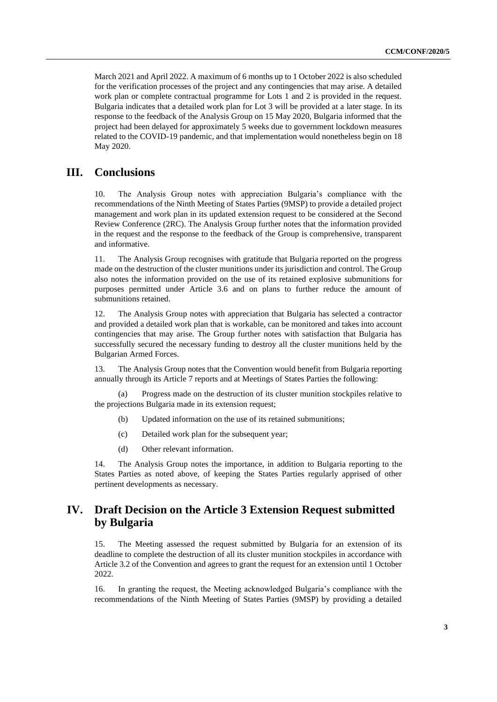March 2021 and April 2022. A maximum of 6 months up to 1 October 2022 is also scheduled for the verification processes of the project and any contingencies that may arise. A detailed work plan or complete contractual programme for Lots 1 and 2 is provided in the request. Bulgaria indicates that a detailed work plan for Lot 3 will be provided at a later stage. In its response to the feedback of the Analysis Group on 15 May 2020, Bulgaria informed that the project had been delayed for approximately 5 weeks due to government lockdown measures related to the COVID-19 pandemic, and that implementation would nonetheless begin on 18 May 2020.

### **III. Conclusions**

10. The Analysis Group notes with appreciation Bulgaria's compliance with the recommendations of the Ninth Meeting of States Parties (9MSP) to provide a detailed project management and work plan in its updated extension request to be considered at the Second Review Conference (2RC). The Analysis Group further notes that the information provided in the request and the response to the feedback of the Group is comprehensive, transparent and informative.

11. The Analysis Group recognises with gratitude that Bulgaria reported on the progress made on the destruction of the cluster munitions under its jurisdiction and control. The Group also notes the information provided on the use of its retained explosive submunitions for purposes permitted under Article 3.6 and on plans to further reduce the amount of submunitions retained.

12. The Analysis Group notes with appreciation that Bulgaria has selected a contractor and provided a detailed work plan that is workable, can be monitored and takes into account contingencies that may arise. The Group further notes with satisfaction that Bulgaria has successfully secured the necessary funding to destroy all the cluster munitions held by the Bulgarian Armed Forces.

13. The Analysis Group notes that the Convention would benefit from Bulgaria reporting annually through its Article 7 reports and at Meetings of States Parties the following:

(a) Progress made on the destruction of its cluster munition stockpiles relative to the projections Bulgaria made in its extension request;

- (b) Updated information on the use of its retained submunitions;
- (c) Detailed work plan for the subsequent year;
- (d) Other relevant information.

14. The Analysis Group notes the importance, in addition to Bulgaria reporting to the States Parties as noted above, of keeping the States Parties regularly apprised of other pertinent developments as necessary.

### **IV. Draft Decision on the Article 3 Extension Request submitted by Bulgaria**

15. The Meeting assessed the request submitted by Bulgaria for an extension of its deadline to complete the destruction of all its cluster munition stockpiles in accordance with Article 3.2 of the Convention and agrees to grant the request for an extension until 1 October 2022.

16. In granting the request, the Meeting acknowledged Bulgaria's compliance with the recommendations of the Ninth Meeting of States Parties (9MSP) by providing a detailed